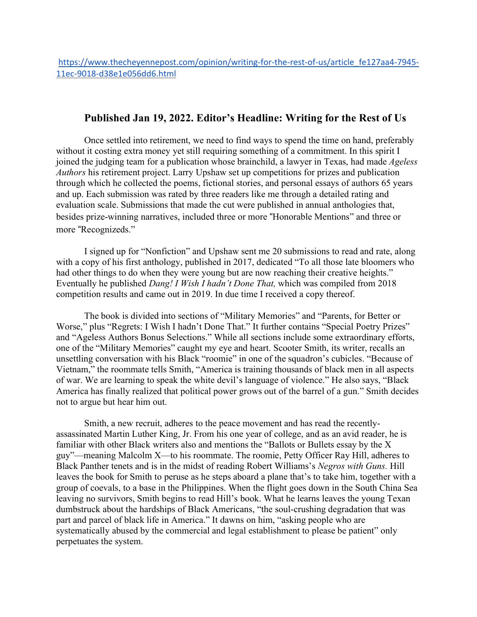## **Published Jan 19, 2022. Editor's Headline: Writing for the Rest of Us**

Once settled into retirement, we need to find ways to spend the time on hand, preferably without it costing extra money yet still requiring something of a commitment. In this spirit I joined the judging team for a publication whose brainchild, a lawyer in Texas, had made *Ageless Authors* his retirement project. Larry Upshaw set up competitions for prizes and publication through which he collected the poems, fictional stories, and personal essays of authors 65 years and up. Each submission was rated by three readers like me through a detailed rating and evaluation scale. Submissions that made the cut were published in annual anthologies that, besides prize-winning narratives, included three or more "Honorable Mentions" and three or more "Recognizeds."

I signed up for "Nonfiction" and Upshaw sent me 20 submissions to read and rate, along with a copy of his first anthology, published in 2017, dedicated "To all those late bloomers who had other things to do when they were young but are now reaching their creative heights." Eventually he published *Dang! I Wish I hadn't Done That,* which was compiled from 2018 competition results and came out in 2019. In due time I received a copy thereof.

The book is divided into sections of "Military Memories" and "Parents, for Better or Worse," plus "Regrets: I Wish I hadn't Done That." It further contains "Special Poetry Prizes" and "Ageless Authors Bonus Selections." While all sections include some extraordinary efforts, one of the "Military Memories" caught my eye and heart. Scooter Smith, its writer, recalls an unsettling conversation with his Black "roomie" in one of the squadron's cubicles. "Because of Vietnam," the roommate tells Smith, "America is training thousands of black men in all aspects of war. We are learning to speak the white devil's language of violence." He also says, "Black America has finally realized that political power grows out of the barrel of a gun." Smith decides not to argue but hear him out.

Smith, a new recruit, adheres to the peace movement and has read the recentlyassassinated Martin Luther King, Jr. From his one year of college, and as an avid reader, he is familiar with other Black writers also and mentions the "Ballots or Bullets essay by the X guy"—meaning Malcolm X—to his roommate. The roomie, Petty Officer Ray Hill, adheres to Black Panther tenets and is in the midst of reading Robert Williams's *Negros with Guns.* Hill leaves the book for Smith to peruse as he steps aboard a plane that's to take him, together with a group of coevals, to a base in the Philippines. When the flight goes down in the South China Sea leaving no survivors, Smith begins to read Hill's book. What he learns leaves the young Texan dumbstruck about the hardships of Black Americans, "the soul-crushing degradation that was part and parcel of black life in America." It dawns on him, "asking people who are systematically abused by the commercial and legal establishment to please be patient" only perpetuates the system.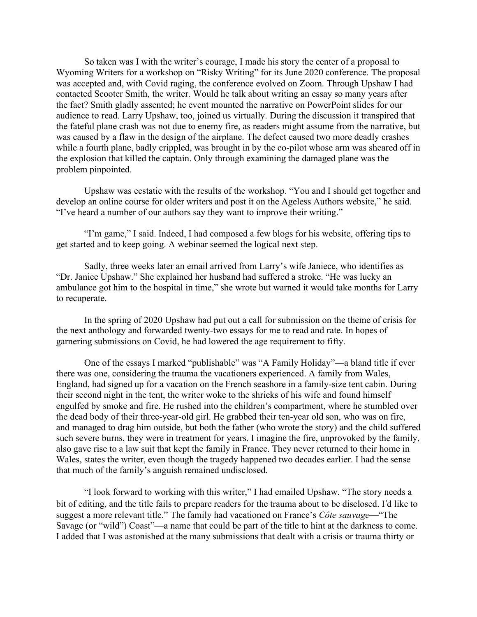So taken was I with the writer's courage, I made his story the center of a proposal to Wyoming Writers for a workshop on "Risky Writing" for its June 2020 conference. The proposal was accepted and, with Covid raging, the conference evolved on Zoom. Through Upshaw I had contacted Scooter Smith, the writer. Would he talk about writing an essay so many years after the fact? Smith gladly assented; he event mounted the narrative on PowerPoint slides for our audience to read. Larry Upshaw, too, joined us virtually. During the discussion it transpired that the fateful plane crash was not due to enemy fire, as readers might assume from the narrative, but was caused by a flaw in the design of the airplane. The defect caused two more deadly crashes while a fourth plane, badly crippled, was brought in by the co-pilot whose arm was sheared off in the explosion that killed the captain. Only through examining the damaged plane was the problem pinpointed.

Upshaw was ecstatic with the results of the workshop. "You and I should get together and develop an online course for older writers and post it on the Ageless Authors website," he said. "I've heard a number of our authors say they want to improve their writing."

"I'm game," I said. Indeed, I had composed a few blogs for his website, offering tips to get started and to keep going. A webinar seemed the logical next step.

Sadly, three weeks later an email arrived from Larry's wife Janiece, who identifies as "Dr. Janice Upshaw." She explained her husband had suffered a stroke. "He was lucky an ambulance got him to the hospital in time," she wrote but warned it would take months for Larry to recuperate.

In the spring of 2020 Upshaw had put out a call for submission on the theme of crisis for the next anthology and forwarded twenty-two essays for me to read and rate. In hopes of garnering submissions on Covid, he had lowered the age requirement to fifty.

One of the essays I marked "publishable" was "A Family Holiday"—a bland title if ever there was one, considering the trauma the vacationers experienced. A family from Wales, England, had signed up for a vacation on the French seashore in a family-size tent cabin. During their second night in the tent, the writer woke to the shrieks of his wife and found himself engulfed by smoke and fire. He rushed into the children's compartment, where he stumbled over the dead body of their three-year-old girl. He grabbed their ten-year old son, who was on fire, and managed to drag him outside, but both the father (who wrote the story) and the child suffered such severe burns, they were in treatment for years. I imagine the fire, unprovoked by the family, also gave rise to a law suit that kept the family in France. They never returned to their home in Wales, states the writer, even though the tragedy happened two decades earlier. I had the sense that much of the family's anguish remained undisclosed.

"I look forward to working with this writer," I had emailed Upshaw. "The story needs a bit of editing, and the title fails to prepare readers for the trauma about to be disclosed. I"d like to suggest a more relevant title." The family had vacationed on France's *Côte sauvage*—"The Savage (or "wild") Coast"—a name that could be part of the title to hint at the darkness to come. I added that I was astonished at the many submissions that dealt with a crisis or trauma thirty or